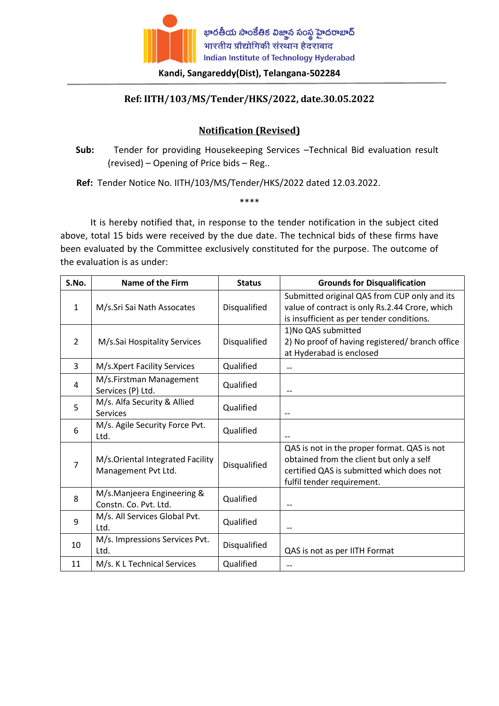

## **Kandi, Sangareddy(Dist), Telangana-502284**

## **Ref: IITH/103/MS/Tender/HKS/2022, date.30.05.2022**

## **Notification (Revised)**

 **Sub:** Tender for providing Housekeeping Services –Technical Bid evaluation result (revised) – Opening of Price bids – Reg..

 **Ref:** Tender Notice No. IITH/103/MS/Tender/HKS/2022 dated 12.03.2022.

\*\*\*\*

It is hereby notified that, in response to the tender notification in the subject cited above, total 15 bids were received by the due date. The technical bids of these firms have been evaluated by the Committee exclusively constituted for the purpose. The outcome of the evaluation is as under:

| S.No.          | <b>Name of the Firm</b>                                 | <b>Status</b> | <b>Grounds for Disqualification</b>                                                                                                                                |
|----------------|---------------------------------------------------------|---------------|--------------------------------------------------------------------------------------------------------------------------------------------------------------------|
| $\mathbf{1}$   | M/s.Sri Sai Nath Assocates                              | Disqualified  | Submitted original QAS from CUP only and its<br>value of contract is only Rs.2.44 Crore, which<br>is insufficient as per tender conditions.                        |
| $\overline{2}$ | M/s.Sai Hospitality Services                            | Disqualified  | 1) No QAS submitted<br>2) No proof of having registered/ branch office<br>at Hyderabad is enclosed                                                                 |
| 3              | M/s.Xpert Facility Services                             | Qualified     | --                                                                                                                                                                 |
| 4              | M/s.Firstman Management<br>Services (P) Ltd.            | Qualified     | --                                                                                                                                                                 |
| 5              | M/s. Alfa Security & Allied<br>Services                 | Qualified     |                                                                                                                                                                    |
| 6              | M/s. Agile Security Force Pvt.<br>Ltd.                  | Qualified     |                                                                                                                                                                    |
| 7              | M/s.Oriental Integrated Facility<br>Management Pvt Ltd. | Disqualified  | QAS is not in the proper format. QAS is not<br>obtained from the client but only a self<br>certified QAS is submitted which does not<br>fulfil tender requirement. |
| 8              | M/s.Manjeera Engineering &<br>Constn. Co. Pvt. Ltd.     | Qualified     |                                                                                                                                                                    |
| 9              | M/s. All Services Global Pvt.<br>Ltd.                   | Qualified     | --                                                                                                                                                                 |
| 10             | M/s. Impressions Services Pvt.<br>Ltd.                  | Disqualified  | QAS is not as per IITH Format                                                                                                                                      |
| 11             | M/s. K L Technical Services                             | Qualified     | $- -$                                                                                                                                                              |